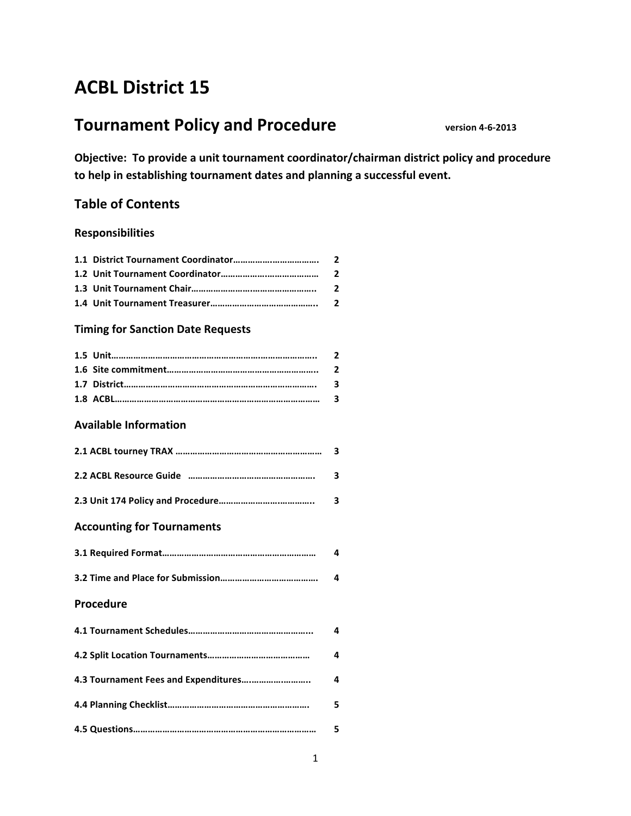# **ACBL District 15**

# **Tournament Policy and Procedure version 4-6-2013**

**Objective: To provide a unit tournament coordinator/chairman district policy and procedure** to help in establishing tournament dates and planning a successful event.

#### **Table of Contents**

#### **Responsibilities**

#### **Timing for Sanction Date Requests**

#### **Available Information**

#### **Accounting for Tournaments**

#### **Procedure**

| 4 |
|---|
| 4 |
| 4 |
| 5 |
|   |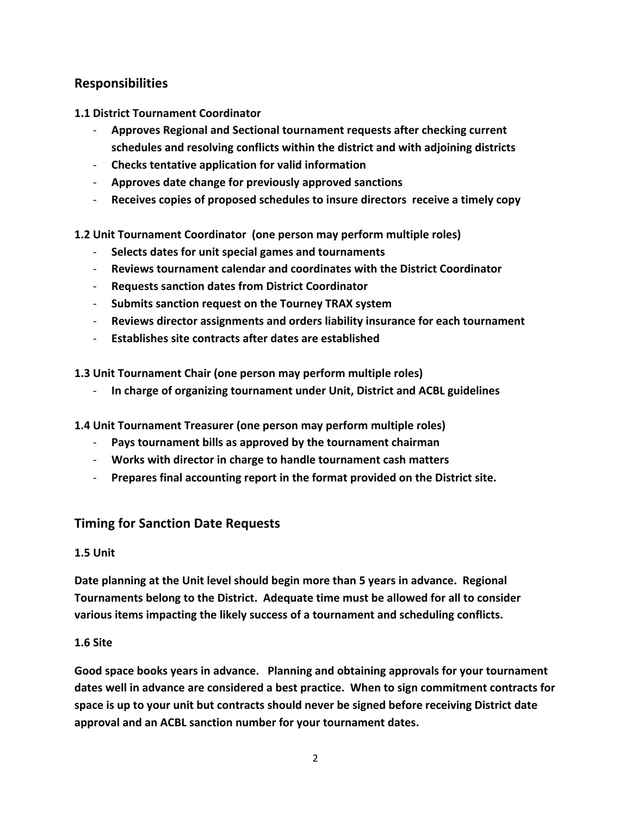## **Responsibilities**

**1.1 District Tournament Coordinator**

- Approves Regional and Sectional tournament requests after checking current schedules and resolving conflicts within the district and with adjoining districts
- **Checks tentative application for valid information**
- **- Approves date change for previously approved sanctions**
- **Receives copies of proposed schedules to insure directors receive a timely copy**

#### **1.2** Unit Tournament Coordinator (one person may perform multiple roles)

- **Selects dates for unit special games and tournaments**
- **Reviews tournament calendar and coordinates with the District Coordinator**
- **Requests sanction dates from District Coordinator**
- **-** Submits sanction request on the Tourney TRAX system
- **Reviews director assignments and orders liability insurance for each tournament**
- **Establishes site contracts after dates are established**

**1.3** Unit Tournament Chair (one person may perform multiple roles)

- In charge of organizing tournament under Unit, District and ACBL guidelines
- **1.4** Unit Tournament Treasurer (one person may perform multiple roles)
	- **-** Pays tournament bills as approved by the tournament chairman
	- Works with director in charge to handle tournament cash matters
	- Prepares final accounting report in the format provided on the District site.

## **Timing for Sanction Date Requests**

#### **1.5 Unit**

Date planning at the Unit level should begin more than 5 years in advance. Regional Tournaments belong to the District. Adequate time must be allowed for all to consider various items impacting the likely success of a tournament and scheduling conflicts.

#### **1.6 Site**

Good space books years in advance. Planning and obtaining approvals for your tournament dates well in advance are considered a best practice. When to sign commitment contracts for space is up to your unit but contracts should never be signed before receiving District date approval and an ACBL sanction number for your tournament dates.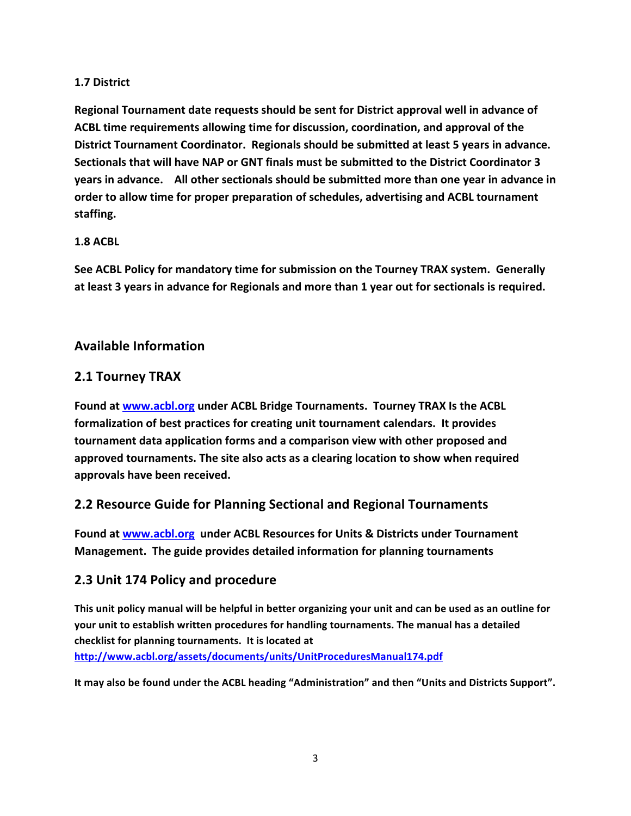#### **1.7 District**

**Regional Tournament date requests should be sent for District approval well in advance of** ACBL time requirements allowing time for discussion, coordination, and approval of the District Tournament Coordinator. Regionals should be submitted at least 5 years in advance. **Sectionals that will have NAP or GNT finals must be submitted to the District Coordinator 3 years in advance.** All other sectionals should be submitted more than one year in advance in order to allow time for proper preparation of schedules, advertising and ACBL tournament **staffing.**

#### **1.8 ACBL**

**See ACBL Policy for mandatory time for submission on the Tourney TRAX system. Generally** at least 3 years in advance for Regionals and more than 1 year out for sectionals is required.

#### **Available Information**

## **2.1 Tourney TRAX**

Found at www.acbl.org under ACBL Bridge Tournaments. Tourney TRAX Is the ACBL formalization of best practices for creating unit tournament calendars. It provides **tournament data application forms and a comparison view with other proposed and** approved tournaments. The site also acts as a clearing location to show when required **approvals have been received.**

## **2.2 Resource Guide for Planning Sectional and Regional Tournaments**

Found at www.acbl.org under ACBL Resources for Units & Districts under Tournament **Management.** The guide provides detailed information for planning tournaments

#### **2.3 Unit 174 Policy and procedure**

This unit policy manual will be helpful in better organizing your unit and can be used as an outline for your unit to establish written procedures for handling tournaments. The manual has a detailed checklist for planning tournaments. It is located at **http://www.acbl.org/assets/documents/units/UnitProceduresManual174.pdf**

It may also be found under the ACBL heading "Administration" and then "Units and Districts Support".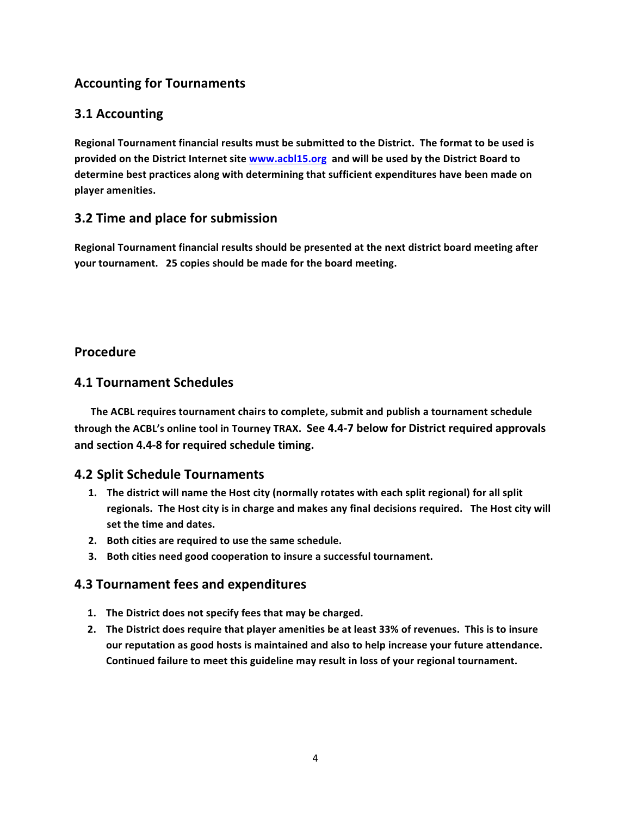# **Accounting for Tournaments**

## **3.1 Accounting**

**Regional Tournament financial results must be submitted to the District. The format to be used is** provided on the District Internet site www.acbl15.org and will be used by the District Board to determine best practices along with determining that sufficient expenditures have been made on **player amenities.**

## **3.2 Time and place for submission**

Regional Tournament financial results should be presented at the next district board meeting after **your tournament.** 25 copies should be made for the board meeting.

## **Procedure**

#### **4.1 Tournament Schedules**

The ACBL requires tournament chairs to complete, submit and publish a tournament schedule **through the ACBL's online tool in Tourney TRAX. See 4.4-7 below for District required approvals and section 4.4-8 for required schedule timing.**

#### **4.2 Split Schedule Tournaments**

- 1. The district will name the Host city (normally rotates with each split regional) for all split regionals. The Host city is in charge and makes any final decisions required. The Host city will set the time and dates.
- **2.** Both cities are required to use the same schedule.
- **3.** Both cities need good cooperation to insure a successful tournament.

## **4.3 Tournament fees and expenditures**

- 1. The District does not specify fees that may be charged.
- **2.** The District does require that player amenities be at least 33% of revenues. This is to insure our reputation as good hosts is maintained and also to help increase your future attendance. Continued failure to meet this guideline may result in loss of your regional tournament.